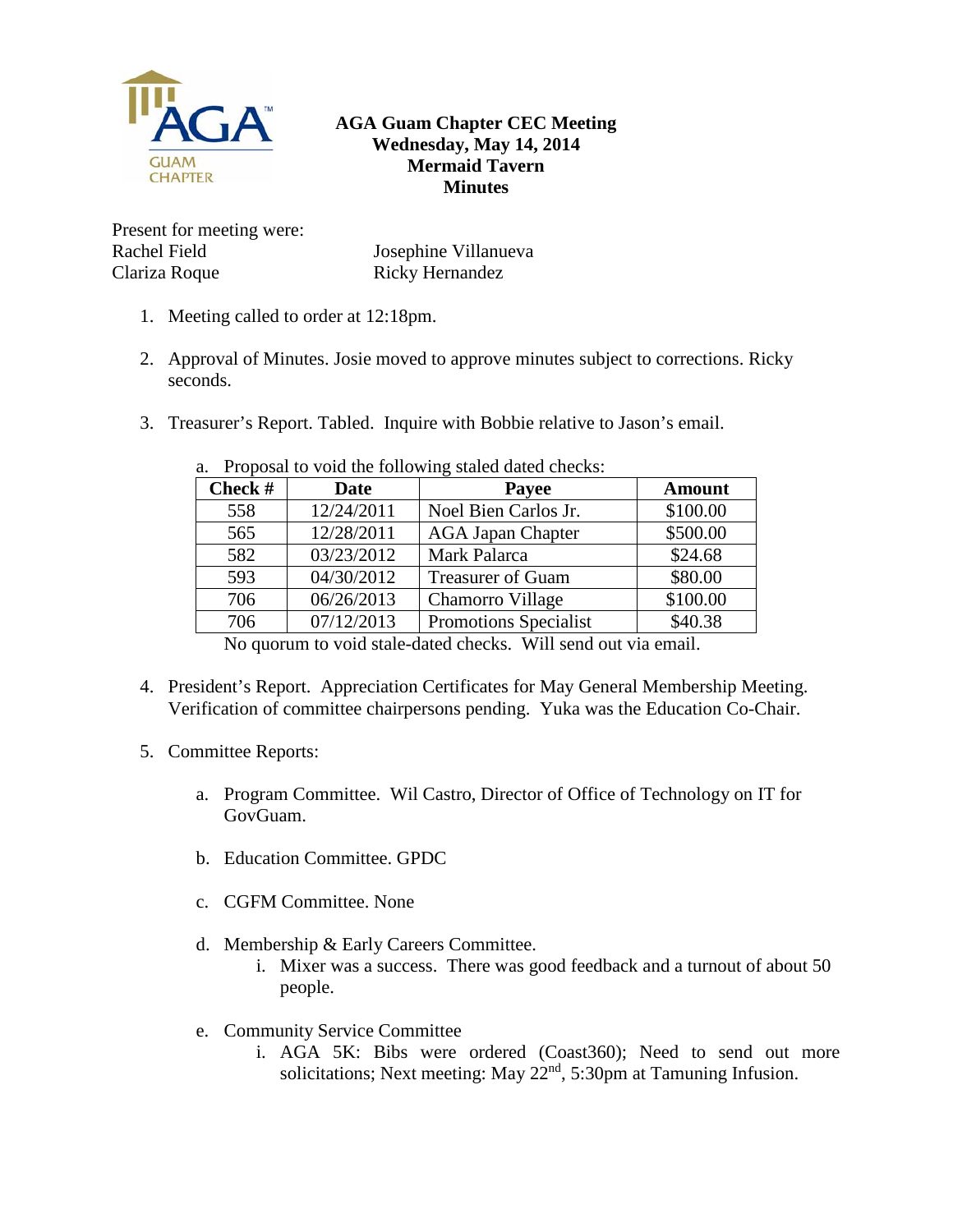

## **AGA Guam Chapter CEC Meeting Wednesday, May 14, 2014 Mermaid Tavern Minutes**

Present for meeting were: Rachel Field Clariza Roque

Josephine Villanueva Ricky Hernandez

- 1. Meeting called to order at 12:18pm.
- 2. Approval of Minutes. Josie moved to approve minutes subject to corrections. Ricky seconds.
- 3. Treasurer's Report. Tabled. Inquire with Bobbie relative to Jason's email.

| Check $#$ | <b>Date</b> | <b>Payee</b>                 | <b>Amount</b> |
|-----------|-------------|------------------------------|---------------|
| 558       | 12/24/2011  | Noel Bien Carlos Jr.         | \$100.00      |
| 565       | 12/28/2011  | <b>AGA Japan Chapter</b>     | \$500.00      |
| 582       | 03/23/2012  | Mark Palarca                 | \$24.68       |
| 593       | 04/30/2012  | <b>Treasurer of Guam</b>     | \$80.00       |
| 706       | 06/26/2013  | Chamorro Village             | \$100.00      |
| 706       | 07/12/2013  | <b>Promotions Specialist</b> | \$40.38       |

a. Proposal to void the following staled dated checks:

No quorum to void stale-dated checks. Will send out via email.

- 4. President's Report. Appreciation Certificates for May General Membership Meeting. Verification of committee chairpersons pending. Yuka was the Education Co-Chair.
- 5. Committee Reports:
	- a. Program Committee. Wil Castro, Director of Office of Technology on IT for GovGuam.
	- b. Education Committee. GPDC
	- c. CGFM Committee. None
	- d. Membership & Early Careers Committee.
		- i. Mixer was a success. There was good feedback and a turnout of about 50 people.
	- e. Community Service Committee
		- i. AGA 5K: Bibs were ordered (Coast360); Need to send out more solicitations; Next meeting: May  $22<sup>nd</sup>$ , 5:30pm at Tamuning Infusion.